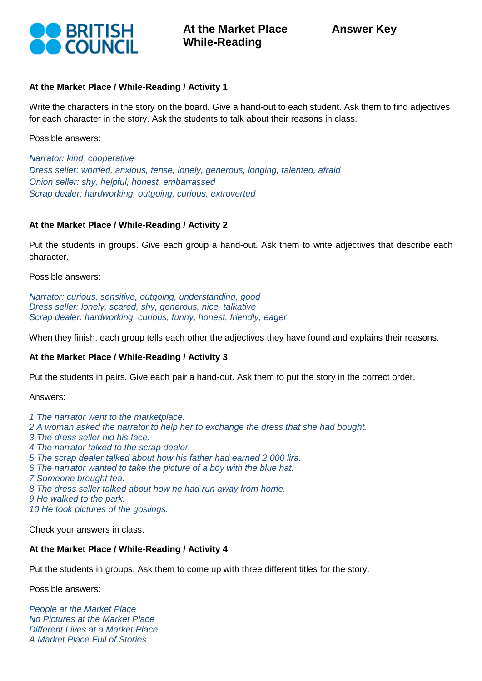

### **At the Market Place / While-Reading / Activity 1**

Write the characters in the story on the board. Give a hand-out to each student. Ask them to find adjectives for each character in the story. Ask the students to talk about their reasons in class.

Possible answers:

*Narrator: kind, cooperative Dress seller: worried, anxious, tense, lonely, generous, longing, talented, afraid Onion seller: shy, helpful, honest, embarrassed Scrap dealer: hardworking, outgoing, curious, extroverted*

#### **At the Market Place / While-Reading / Activity 2**

Put the students in groups. Give each group a hand-out. Ask them to write adjectives that describe each character.

Possible answers:

*Narrator: curious, sensitive, outgoing, understanding, good Dress seller: lonely, scared, shy, generous, nice, talkative Scrap dealer: hardworking, curious, funny, honest, friendly, eager*

When they finish, each group tells each other the adjectives they have found and explains their reasons.

# **At the Market Place / While-Reading / Activity 3**

Put the students in pairs. Give each pair a hand-out. Ask them to put the story in the correct order.

Answers:

*1 The narrator went to the marketplace. 2 A woman asked the narrator to help her to exchange the dress that she had bought. 3 The dress seller hid his face. 4 The narrator talked to the scrap dealer. 5 The scrap dealer talked about how his father had earned 2.000 lira. 6 The narrator wanted to take the picture of a boy with the blue hat.*

*7 Someone brought tea.*

*8 The dress seller talked about how he had run away from home.*

*9 He walked to the park.*

*10 He took pictures of the goslings.*

Check your answers in class.

#### **At the Market Place / While-Reading / Activity 4**

Put the students in groups. Ask them to come up with three different titles for the story.

Possible answers:

*People at the Market Place No Pictures at the Market Place Different Lives at a Market Place A Market Place Full of Stories*